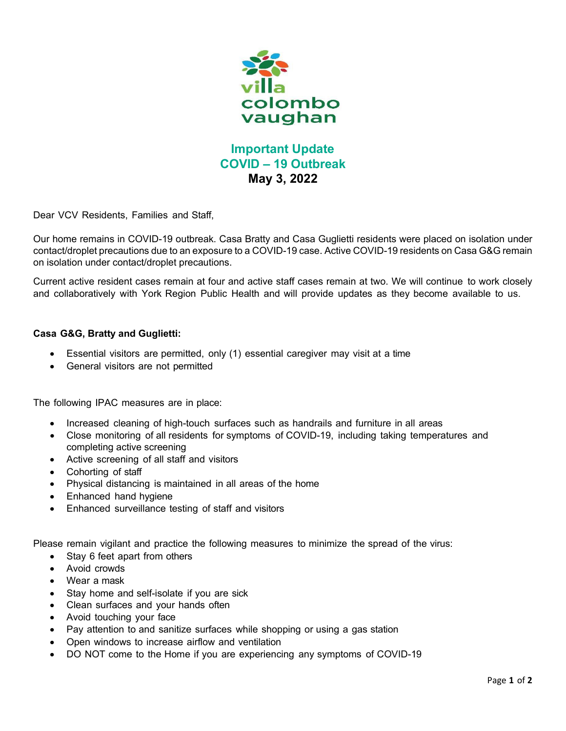

## **Important Update COVID – 19 Outbreak May 3, 2022**

Dear VCV Residents, Families and Staff,

Our home remains in COVID-19 outbreak. Casa Bratty and Casa Guglietti residents were placed on isolation under contact/droplet precautions due to an exposure to a COVID-19 case. Active COVID-19 residents on Casa G&G remain on isolation under contact/droplet precautions.

Current active resident cases remain at four and active staff cases remain at two. We will continue to work closely and collaboratively with York Region Public Health and will provide updates as they become available to us.

## **Casa G&G, Bratty and Guglietti:**

- Essential visitors are permitted, only (1) essential caregiver may visit at a time
- General visitors are not permitted

The following IPAC measures are in place:

- Increased cleaning of high-touch surfaces such as handrails and furniture in all areas
- Close monitoring of all residents for symptoms of COVID-19, including taking temperatures and completing active screening
- Active screening of all staff and visitors
- Cohorting of staff
- Physical distancing is maintained in all areas of the home
- Enhanced hand hygiene
- Enhanced surveillance testing of staff and visitors

Please remain vigilant and practice the following measures to minimize the spread of the virus:

- Stay 6 feet apart from others
- Avoid crowds
- Wear a mask
- Stay home and self-isolate if you are sick
- Clean surfaces and your hands often
- Avoid touching your face
- Pay attention to and sanitize surfaces while shopping or using a gas station
- Open windows to increase airflow and ventilation
- DO NOT come to the Home if you are experiencing any symptoms of COVID-19